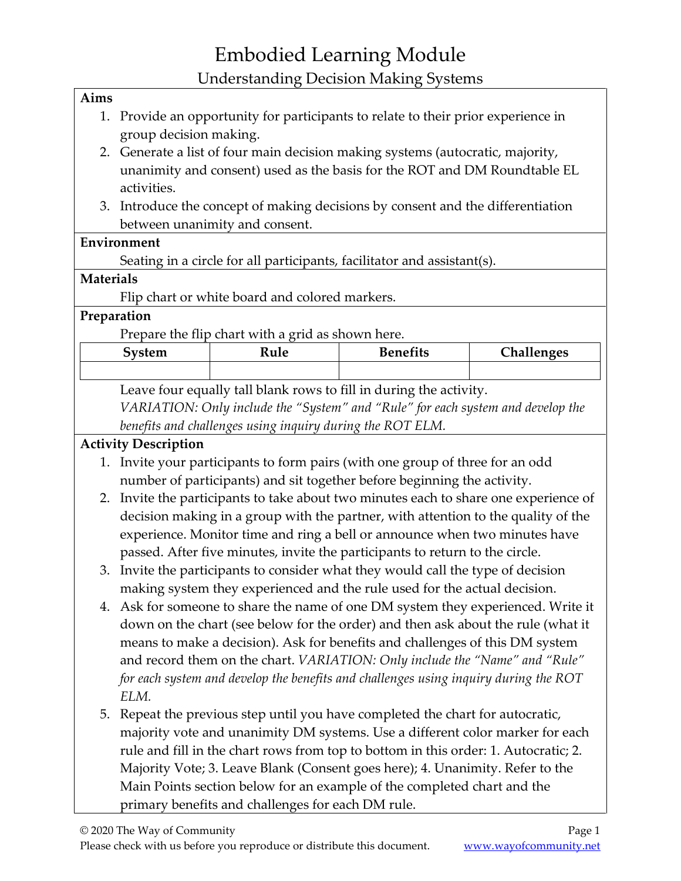#### **Aims**

- 1. Provide an opportunity for participants to relate to their prior experience in group decision making.
- 2. Generate a list of four main decision making systems (autocratic, majority, unanimity and consent) used as the basis for the ROT and DM Roundtable EL activities.
- 3. Introduce the concept of making decisions by consent and the differentiation between unanimity and consent.

## **Environment**

Seating in a circle for all participants, facilitator and assistant(s).

## **Materials**

Flip chart or white board and colored markers.

## **Preparation**

Prepare the flip chart with a grid as shown here.

| 5vstem | Rule | <b>Benefits</b> | <b>Challenges</b> |
|--------|------|-----------------|-------------------|
|        |      |                 |                   |

Leave four equally tall blank rows to fill in during the activity. *VARIATION: Only include the "System" and "Rule" for each system and develop the benefits and challenges using inquiry during the ROT ELM.*

## **Activity Description**

- 1. Invite your participants to form pairs (with one group of three for an odd number of participants) and sit together before beginning the activity.
- 2. Invite the participants to take about two minutes each to share one experience of decision making in a group with the partner, with attention to the quality of the experience. Monitor time and ring a bell or announce when two minutes have passed. After five minutes, invite the participants to return to the circle.
- 3. Invite the participants to consider what they would call the type of decision making system they experienced and the rule used for the actual decision.
- 4. Ask for someone to share the name of one DM system they experienced. Write it down on the chart (see below for the order) and then ask about the rule (what it means to make a decision). Ask for benefits and challenges of this DM system and record them on the chart. *VARIATION: Only include the "Name" and "Rule" for each system and develop the benefits and challenges using inquiry during the ROT ELM.*
- 5. Repeat the previous step until you have completed the chart for autocratic, majority vote and unanimity DM systems. Use a different color marker for each rule and fill in the chart rows from top to bottom in this order: 1. Autocratic; 2. Majority Vote; 3. Leave Blank (Consent goes here); 4. Unanimity. Refer to the Main Points section below for an example of the completed chart and the primary benefits and challenges for each DM rule.